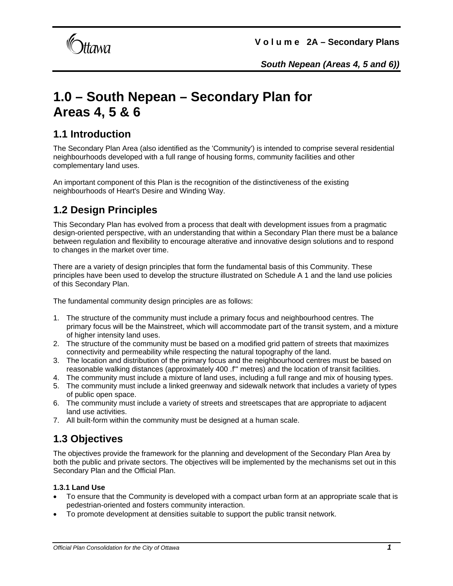

# **1.0 – South Nepean – Secondary Plan for Areas 4, 5 & 6**

# **1.1 Introduction**

The Secondary Plan Area (also identified as the 'Community') is intended to comprise several residential neighbourhoods developed with a full range of housing forms, community facilities and other complementary land uses.

An important component of this Plan is the recognition of the distinctiveness of the existing neighbourhoods of Heart's Desire and Winding Way.

# **1.2 Design Principles**

This Secondary Plan has evolved from a process that dealt with development issues from a pragmatic design-oriented perspective, with an understanding that within a Secondary Plan there must be a balance between regulation and flexibility to encourage alterative and innovative design solutions and to respond to changes in the market over time.

There are a variety of design principles that form the fundamental basis of this Community. These principles have been used to develop the structure illustrated on Schedule A 1 and the land use policies of this Secondary Plan.

The fundamental community design principles are as follows:

- 1. The structure of the community must include a primary focus and neighbourhood centres. The primary focus will be the Mainstreet, which will accommodate part of the transit system, and a mixture of higher intensity land uses.
- 2. The structure of the community must be based on a modified grid pattern of streets that maximizes connectivity and permeability while respecting the natural topography of the land.
- 3. The location and distribution of the primary focus and the neighbourhood centres must be based on reasonable walking distances (approximately 400 .f"' metres) and the location of transit facilities.
- 4. The community must include a mixture of land uses, including a full range and mix of housing types.
- 5. The community must include a linked greenway and sidewalk network that includes a variety of types of public open space.
- 6. The community must include a variety of streets and streetscapes that are appropriate to adjacent land use activities.
- 7. All built-form within the community must be designed at a human scale.

# **1.3 Objectives**

The objectives provide the framework for the planning and development of the Secondary Plan Area by both the public and private sectors. The objectives will be implemented by the mechanisms set out in this Secondary Plan and the Official Plan.

#### **1.3.1 Land Use**

- To ensure that the Community is developed with a compact urban form at an appropriate scale that is pedestrian-oriented and fosters community interaction.
- To promote development at densities suitable to support the public transit network.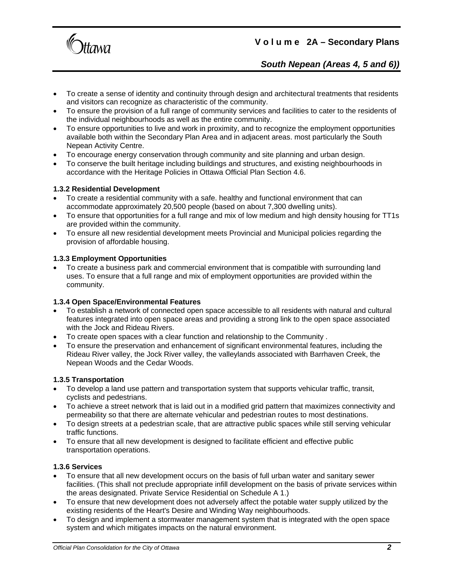

## *South Nepean (Areas 4, 5 and 6))*

- To create a sense of identity and continuity through design and architectural treatments that residents and visitors can recognize as characteristic of the community.
- To ensure the provision of a full range of community services and facilities to cater to the residents of the individual neighbourhoods as well as the entire community.
- To ensure opportunities to live and work in proximity, and to recognize the employment opportunities available both within the Secondary Plan Area and in adjacent areas. most particularly the South Nepean Activity Centre.
- To encourage energy conservation through community and site planning and urban design.
- To conserve the built heritage including buildings and structures, and existing neighbourhoods in accordance with the Heritage Policies in Ottawa Official Plan Section 4.6.

#### **1.3.2 Residential Development**

- To create a residential community with a safe. healthy and functional environment that can accommodate approximately 20,500 people (based on about 7,300 dwelling units).
- To ensure that opportunities for a full range and mix of low medium and high density housing for TT1s are provided within the community.
- To ensure all new residential development meets Provincial and Municipal policies regarding the provision of affordable housing.

#### **1.3.3 Employment Opportunities**

• To create a business park and commercial environment that is compatible with surrounding land uses. To ensure that a full range and mix of employment opportunities are provided within the community.

#### **1.3.4 Open Space/Environmental Features**

- To establish a network of connected open space accessible to all residents with natural and cultural features integrated into open space areas and providing a strong link to the open space associated with the Jock and Rideau Rivers.
- To create open spaces with a clear function and relationship to the Community .
- To ensure the preservation and enhancement of significant environmental features, including the Rideau River valley, the Jock River valley, the valleylands associated with Barrhaven Creek, the Nepean Woods and the Cedar Woods.

#### **1.3.5 Transportation**

- To develop a land use pattern and transportation system that supports vehicular traffic, transit, cyclists and pedestrians.
- To achieve a street network that is laid out in a modified grid pattern that maximizes connectivity and permeability so that there are alternate vehicular and pedestrian routes to most destinations.
- To design streets at a pedestrian scale, that are attractive public spaces while still serving vehicular traffic functions.
- To ensure that all new development is designed to facilitate efficient and effective public transportation operations.

#### **1.3.6 Services**

- To ensure that all new development occurs on the basis of full urban water and sanitary sewer facilities. (This shall not preclude appropriate infill development on the basis of private services within the areas designated. Private Service Residential on Schedule A 1.)
- To ensure that new development does not adversely affect the potable water supply utilized by the existing residents of the Heart's Desire and Winding Way neighbourhoods.
- To design and implement a stormwater management system that is integrated with the open space system and which mitigates impacts on the natural environment.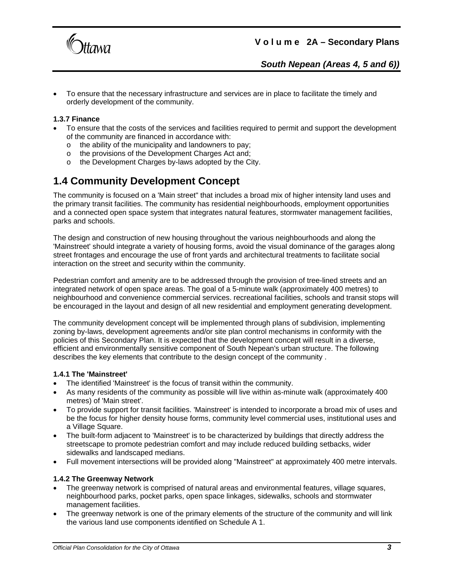

• To ensure that the necessary infrastructure and services are in place to facilitate the timely and orderly development of the community.

#### **1.3.7 Finance**

- To ensure that the costs of the services and facilities required to permit and support the development of the community are financed in accordance with:
	- o the ability of the municipality and landowners to pay;
	- o the provisions of the Development Charges Act and;
	- o the Development Charges by-laws adopted by the City.

# **1.4 Community Development Concept**

The community is focused on a 'Main street" that includes a broad mix of higher intensity land uses and the primary transit facilities. The community has residential neighbourhoods, employment opportunities and a connected open space system that integrates natural features, stormwater management facilities, parks and schools.

The design and construction of new housing throughout the various neighbourhoods and along the 'Mainstreet' should integrate a variety of housing forms, avoid the visual dominance of the garages along street frontages and encourage the use of front yards and architectural treatments to facilitate social interaction on the street and security within the community.

Pedestrian comfort and amenity are to be addressed through the provision of tree-lined streets and an integrated network of open space areas. The goal of a 5-minute walk (approximately 400 metres) to neighbourhood and convenience commercial services. recreational facilities, schools and transit stops will be encouraged in the layout and design of all new residential and employment generating development.

The community development concept will be implemented through plans of subdivision, implementing zoning by-laws, development agreements and/or site plan control mechanisms in conformity with the policies of this Secondary Plan. It is expected that the development concept will result in a diverse, efficient and environmentally sensitive component of South Nepean's urban structure. The following describes the key elements that contribute to the design concept of the community .

#### **1.4.1 The 'Mainstreet'**

- The identified 'Mainstreet' is the focus of transit within the community.
- As many residents of the community as possible will live within as-minute walk (approximately 400 metres) of 'Main street'.
- To provide support for transit facilities. 'Mainstreet' is intended to incorporate a broad mix of uses and be the focus for higher density house forms, community level commercial uses, institutional uses and a Village Square.
- The built-form adjacent to 'Mainstreet' is to be characterized by buildings that directly address the streetscape to promote pedestrian comfort and may include reduced building setbacks, wider sidewalks and landscaped medians.
- Full movement intersections will be provided along "Mainstreet" at approximately 400 metre intervals.

#### **1.4.2 The Greenway Network**

- The greenway network is comprised of natural areas and environmental features, village squares, neighbourhood parks, pocket parks, open space linkages, sidewalks, schools and stormwater management facilities.
- The greenway network is one of the primary elements of the structure of the community and will link the various land use components identified on Schedule A 1.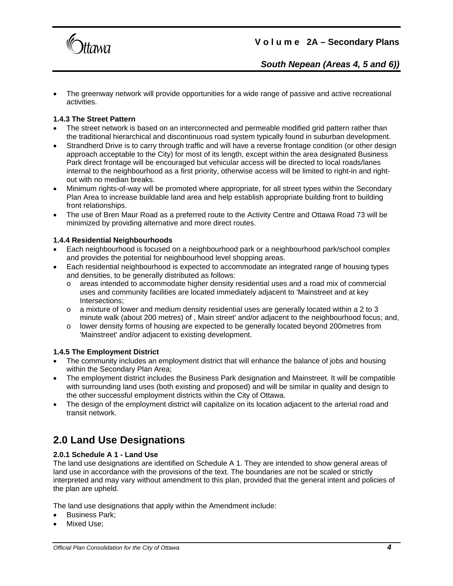

## *South Nepean (Areas 4, 5 and 6))*

• The greenway network will provide opportunities for a wide range of passive and active recreational activities.

#### **1.4.3 The Street Pattern**

- The street network is based on an interconnected and permeable modified grid pattern rather than the traditional hierarchical and discontinuous road system typically found in suburban development.
- Strandherd Drive is to carry through traffic and will have a reverse frontage condition (or other design approach acceptable to the City) for most of its length, except within the area designated Business Park direct frontage will be encouraged but vehicular access will be directed to local roads/lanes internal to the neighbourhood as a first priority, otherwise access will be limited to right-in and rightout with no median breaks.
- Minimum rights-of-way will be promoted where appropriate, for all street types within the Secondary Plan Area to increase buildable land area and help establish appropriate building front to building front relationships.
- The use of Bren Maur Road as a preferred route to the Activity Centre and Ottawa Road 73 will be minimized by providing alternative and more direct routes.

#### **1.4.4 Residential Neighbourhoods**

- Each neighbourhood is focused on a neighbourhood park or a neighbourhood park/school complex and provides the potential for neighbourhood level shopping areas.
- Each residential neighbourhood is expected to accommodate an integrated range of housing types and densities, to be generally distributed as follows:
	- o areas intended to accommodate higher density residential uses and a road mix of commercial uses and community facilities are located immediately adjacent to 'Mainstreet and at key Intersections;
	- $\circ$  a mixture of lower and medium density residential uses are generally located within a 2 to 3 minute walk (about 200 metres) of , Main street' and/or adjacent to the neighbourhood focus; and,
	- o lower density forms of housing are expected to be generally located beyond 200metres from 'Mainstreet' and/or adjacent to existing development.

#### **1.4.5 The Employment District**

- The community includes an employment district that will enhance the balance of jobs and housing within the Secondary Plan Area;
- The employment district includes the Business Park designation and Mainstreet. It will be compatible with surrounding land uses (both existing and proposed) and will be similar in quality and design to the other successful employment districts within the City of Ottawa.
- The design of the employment district will capitalize on its location adjacent to the arterial road and transit network.

# **2.0 Land Use Designations**

#### **2.0.1 Schedule A 1 - Land Use**

The land use designations are identified on Schedule A 1. They are intended to show general areas of land use in accordance with the provisions of the text. The boundaries are not be scaled or strictly interpreted and may vary without amendment to this plan, provided that the general intent and policies of the plan are upheld.

The land use designations that apply within the Amendment include:

- Business Park:
- Mixed Use: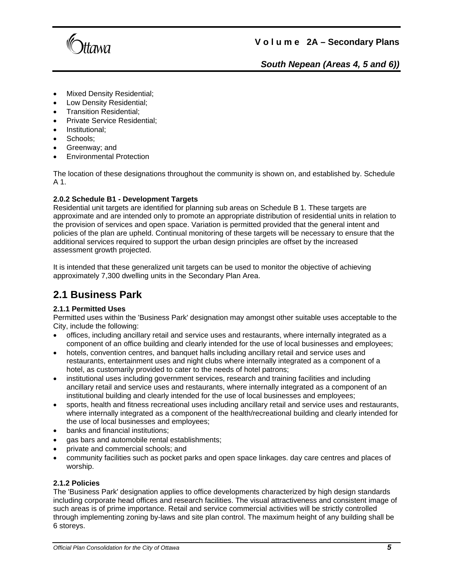

- Mixed Density Residential;
- Low Density Residential;
- Transition Residential;
- Private Service Residential;
- Institutional;
- Schools;
- Greenway; and
- Environmental Protection

The location of these designations throughout the community is shown on, and established by. Schedule A 1.

#### **2.0.2 Schedule B1 - Development Targets**

Residential unit targets are identified for planning sub areas on Schedule B 1. These targets are approximate and are intended only to promote an appropriate distribution of residential units in relation to the provision of services and open space. Variation is permitted provided that the general intent and policies of the plan are upheld. Continual monitoring of these targets will be necessary to ensure that the additional services required to support the urban design principles are offset by the increased assessment growth projected.

It is intended that these generalized unit targets can be used to monitor the objective of achieving approximately 7,300 dwelling units in the Secondary Plan Area.

# **2.1 Business Park**

#### **2.1.1 Permitted Uses**

Permitted uses within the 'Business Park' designation may amongst other suitable uses acceptable to the City, include the following:

- offices, including ancillary retail and service uses and restaurants, where internally integrated as a component of an office building and clearly intended for the use of local businesses and employees;
- hotels, convention centres, and banquet halls including ancillary retail and service uses and restaurants, entertainment uses and night clubs where internally integrated as a component of a hotel, as customarily provided to cater to the needs of hotel patrons;
- institutional uses including government services, research and training facilities and including ancillary retail and service uses and restaurants, where internally integrated as a component of an institutional building and clearly intended for the use of local businesses and employees;
- sports, health and fitness recreational uses including ancillary retail and service uses and restaurants, where internally integrated as a component of the health/recreational building and clearly intended for the use of local businesses and employees;
- banks and financial institutions;
- gas bars and automobile rental establishments;
- private and commercial schools; and
- community facilities such as pocket parks and open space linkages. day care centres and places of worship.

#### **2.1.2 Policies**

The 'Business Park' designation applies to office developments characterized by high design standards including corporate head offices and research facilities. The visual attractiveness and consistent image of such areas is of prime importance. Retail and service commercial activities will be strictly controlled through implementing zoning by-laws and site plan control. The maximum height of any building shall be 6 storeys.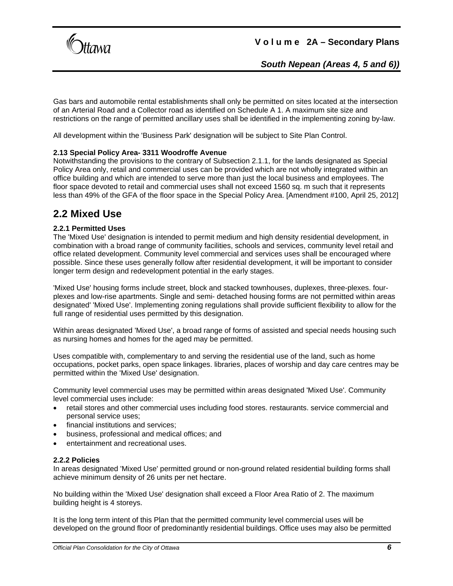

## *South Nepean (Areas 4, 5 and 6))*

Gas bars and automobile rental establishments shall only be permitted on sites located at the intersection of an Arterial Road and a Collector road as identified on Schedule A 1. A maximum site size and restrictions on the range of permitted ancillary uses shall be identified in the implementing zoning by-law.

All development within the 'Business Park' designation will be subject to Site Plan Control.

#### **2.13 Special Policy Area- 3311 Woodroffe Avenue**

Notwithstanding the provisions to the contrary of Subsection 2.1.1, for the lands designated as Special Policy Area only, retail and commercial uses can be provided which are not wholly integrated within an office building and which are intended to serve more than just the local business and employees. The floor space devoted to retail and commercial uses shall not exceed 1560 sq. m such that it represents less than 49% of the GFA of the floor space in the Special Policy Area. [Amendment #100, April 25, 2012]

## **2.2 Mixed Use**

#### **2.2.1 Permitted Uses**

The 'Mixed Use' designation is intended to permit medium and high density residential development, in combination with a broad range of community facilities, schools and services, community level retail and office related development. Community level commercial and services uses shall be encouraged where possible. Since these uses generally follow after residential development, it will be important to consider longer term design and redevelopment potential in the early stages.

'Mixed Use' housing forms include street, block and stacked townhouses, duplexes, three-plexes. fourplexes and low-rise apartments. Single and semi- detached housing forms are not permitted within areas designated' 'Mixed Use'. Implementing zoning regulations shall provide sufficient flexibility to allow for the full range of residential uses permitted by this designation.

Within areas designated 'Mixed Use', a broad range of forms of assisted and special needs housing such as nursing homes and homes for the aged may be permitted.

Uses compatible with, complementary to and serving the residential use of the land, such as home occupations, pocket parks, open space linkages. libraries, places of worship and day care centres may be permitted within the 'Mixed Use' designation.

Community level commercial uses may be permitted within areas designated 'Mixed Use'. Community level commercial uses include:

- retail stores and other commercial uses including food stores. restaurants. service commercial and personal service uses;
- financial institutions and services;
- business, professional and medical offices; and
- entertainment and recreational uses.

#### **2.2.2 Policies**

In areas designated 'Mixed Use' permitted ground or non-ground related residential building forms shall achieve minimum density of 26 units per net hectare.

No building within the 'Mixed Use' designation shall exceed a Floor Area Ratio of 2. The maximum building height is 4 storeys.

It is the long term intent of this Plan that the permitted community level commercial uses will be developed on the ground floor of predominantly residential buildings. Office uses may also be permitted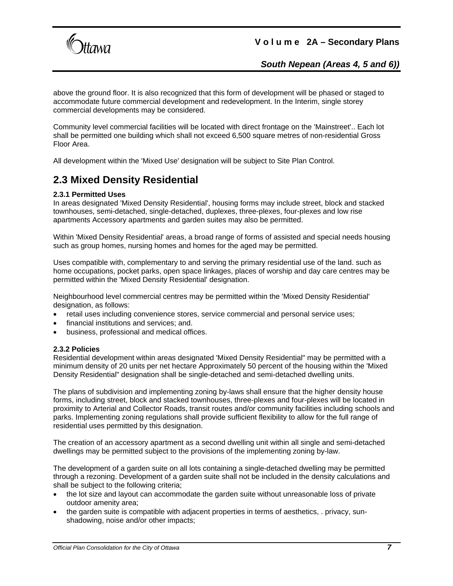

### *South Nepean (Areas 4, 5 and 6))*

above the ground floor. It is also recognized that this form of development will be phased or staged to accommodate future commercial development and redevelopment. In the Interim, single storey commercial developments may be considered.

Community level commercial facilities will be located with direct frontage on the 'Mainstreet'.. Each lot shall be permitted one building which shall not exceed 6,500 square metres of non-residential Gross Floor Area.

All development within the 'Mixed Use' designation will be subject to Site Plan Control.

## **2.3 Mixed Density Residential**

#### **2.3.1 Permitted Uses**

In areas designated 'Mixed Density Residential', housing forms may include street, block and stacked townhouses, semi-detached, single-detached, duplexes, three-plexes, four-plexes and low rise apartments Accessory apartments and garden suites may also be permitted.

Within 'Mixed Density Residential' areas, a broad range of forms of assisted and special needs housing such as group homes, nursing homes and homes for the aged may be permitted.

Uses compatible with, complementary to and serving the primary residential use of the land. such as home occupations, pocket parks, open space linkages, places of worship and day care centres may be permitted within the 'Mixed Density Residential' designation.

Neighbourhood level commercial centres may be permitted within the 'Mixed Density Residential' designation, as follows:

- retail uses including convenience stores, service commercial and personal service uses;
- financial institutions and services; and.
- business, professional and medical offices.

#### **2.3.2 Policies**

Residential development within areas designated 'Mixed Density Residential" may be permitted with a minimum density of 20 units per net hectare Approximately 50 percent of the housing within the 'Mixed Density Residential" designation shall be single-detached and semi-detached dwelling units.

The plans of subdivision and implementing zoning by-laws shall ensure that the higher density house forms, including street, block and stacked townhouses, three-plexes and four-plexes will be located in proximity to Arterial and Collector Roads, transit routes and/or community facilities including schools and parks. Implementing zoning regulations shall provide sufficient flexibility to allow for the full range of residential uses permitted by this designation.

The creation of an accessory apartment as a second dwelling unit within all single and semi-detached dwellings may be permitted subject to the provisions of the implementing zoning by-law.

The development of a garden suite on all lots containing a single-detached dwelling may be permitted through a rezoning. Development of a garden suite shall not be included in the density calculations and shall be subject to the following criteria;

- the lot size and layout can accommodate the garden suite without unreasonable loss of private outdoor amenity area;
- the garden suite is compatible with adjacent properties in terms of aesthetics, . privacy, sunshadowing, noise and/or other impacts;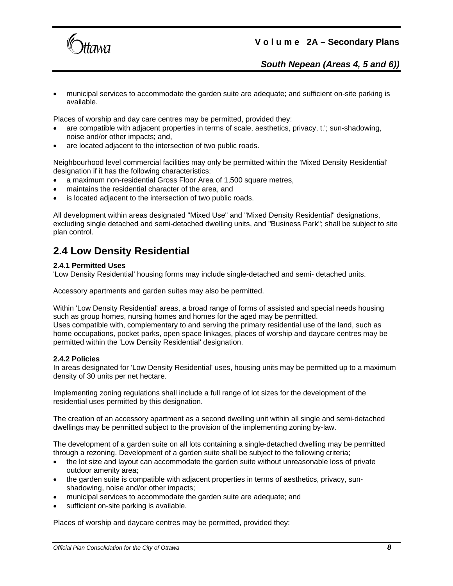

### *South Nepean (Areas 4, 5 and 6))*

• municipal services to accommodate the garden suite are adequate; and sufficient on-site parking is available.

Places of worship and day care centres may be permitted, provided they:

- are compatible with adjacent properties in terms of scale, aesthetics, privacy, t.'; sun-shadowing, noise and/or other impacts; and,
- are located adjacent to the intersection of two public roads.

Neighbourhood level commercial facilities may only be permitted within the 'Mixed Density Residential' designation if it has the following characteristics:

- a maximum non-residential Gross Floor Area of 1,500 square metres,
- maintains the residential character of the area, and
- is located adjacent to the intersection of two public roads.

All development within areas designated "Mixed Use" and "Mixed Density Residential" designations, excluding single detached and semi-detached dwelling units, and "Business Park"; shall be subject to site plan control.

# **2.4 Low Density Residential**

#### **2.4.1 Permitted Uses**

'Low Density Residential' housing forms may include single-detached and semi- detached units.

Accessory apartments and garden suites may also be permitted.

Within 'Low Density Residential' areas, a broad range of forms of assisted and special needs housing such as group homes, nursing homes and homes for the aged may be permitted. Uses compatible with, complementary to and serving the primary residential use of the land, such as home occupations, pocket parks, open space linkages, places of worship and daycare centres may be permitted within the 'Low Density Residential' designation.

#### **2.4.2 Policies**

In areas designated for 'Low Density Residential' uses, housing units may be permitted up to a maximum density of 30 units per net hectare.

Implementing zoning regulations shall include a full range of lot sizes for the development of the residential uses permitted by this designation.

The creation of an accessory apartment as a second dwelling unit within all single and semi-detached dwellings may be permitted subject to the provision of the implementing zoning by-law.

The development of a garden suite on all lots containing a single-detached dwelling may be permitted through a rezoning. Development of a garden suite shall be subject to the following criteria;

- the lot size and layout can accommodate the garden suite without unreasonable loss of private outdoor amenity area;
- the garden suite is compatible with adjacent properties in terms of aesthetics, privacy, sunshadowing, noise and/or other impacts;
- municipal services to accommodate the garden suite are adequate; and
- sufficient on-site parking is available.

Places of worship and daycare centres may be permitted, provided they: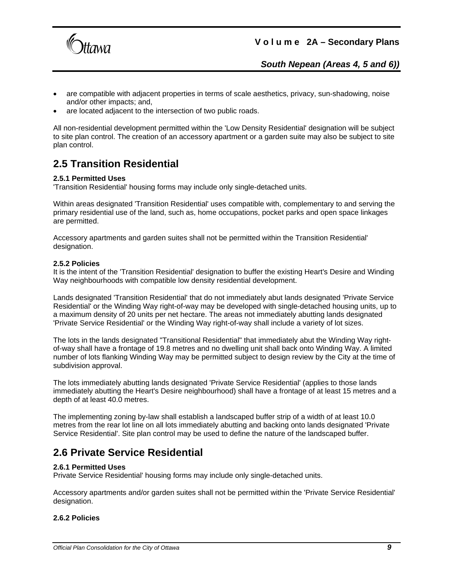

- are compatible with adjacent properties in terms of scale aesthetics, privacy, sun-shadowing, noise and/or other impacts; and,
- are located adjacent to the intersection of two public roads.

All non-residential development permitted within the 'Low Density Residential' designation will be subject to site plan control. The creation of an accessory apartment or a garden suite may also be subject to site plan control.

# **2.5 Transition Residential**

#### **2.5.1 Permitted Uses**

'Transition Residential' housing forms may include only single-detached units.

Within areas designated 'Transition Residential' uses compatible with, complementary to and serving the primary residential use of the land, such as, home occupations, pocket parks and open space linkages are permitted.

Accessory apartments and garden suites shall not be permitted within the Transition Residential' designation.

#### **2.5.2 Policies**

It is the intent of the 'Transition Residential' designation to buffer the existing Heart's Desire and Winding Way neighbourhoods with compatible low density residential development.

Lands designated 'Transition Residential' that do not immediately abut lands designated 'Private Service Residential' or the Winding Way right-of-way may be developed with single-detached housing units, up to a maximum density of 20 units per net hectare. The areas not immediately abutting lands designated 'Private Service Residential' or the Winding Way right-of-way shall include a variety of lot sizes.

The lots in the lands designated "Transitional Residential" that immediately abut the Winding Way rightof-way shall have a frontage of 19.8 metres and no dwelling unit shall back onto Winding Way. A limited number of lots flanking Winding Way may be permitted subject to design review by the City at the time of subdivision approval.

The lots immediately abutting lands designated 'Private Service Residential' (applies to those lands immediately abutting the Heart's Desire neighbourhood) shall have a frontage of at least 15 metres and a depth of at least 40.0 metres.

The implementing zoning by-law shall establish a landscaped buffer strip of a width of at least 10.0 metres from the rear lot line on all lots immediately abutting and backing onto lands designated 'Private Service Residential'. Site plan control may be used to define the nature of the landscaped buffer.

## **2.6 Private Service Residential**

#### **2.6.1 Permitted Uses**

Private Service Residential' housing forms may include only single-detached units.

Accessory apartments and/or garden suites shall not be permitted within the 'Private Service Residential' designation.

#### **2.6.2 Policies**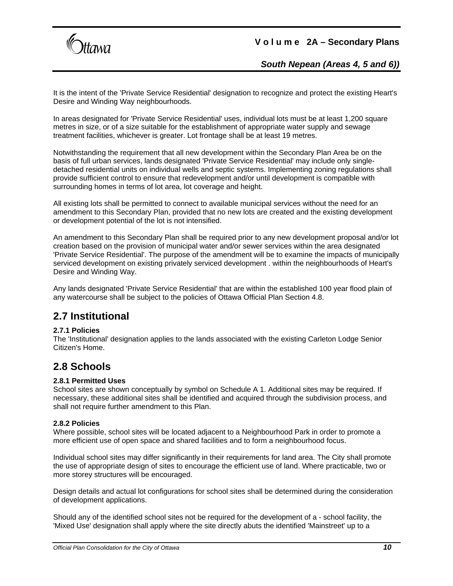

## *South Nepean (Areas 4, 5 and 6))*

It is the intent of the 'Private Service Residential' designation to recognize and protect the existing Heart's Desire and Winding Way neighbourhoods.

In areas designated for 'Private Service Residential' uses, individual lots must be at least 1,200 square metres in size, or of a size suitable for the establishment of appropriate water supply and sewage treatment facilities, whichever is greater. Lot frontage shall be at least 19 metres.

Notwithstanding the requirement that all new development within the Secondary Plan Area be on the basis of full urban services, lands designated 'Private Service Residential' may include only singledetached residential units on individual wells and septic systems. Implementing zoning regulations shall provide sufficient control to ensure that redevelopment and/or until development is compatible with surrounding homes in terms of lot area, lot coverage and height.

All existing lots shall be permitted to connect to available municipal services without the need for an amendment to this Secondary Plan, provided that no new lots are created and the existing development or development potential of the lot is not intensified.

An amendment to this Secondary Plan shall be required prior to any new development proposal and/or lot creation based on the provision of municipal water and/or sewer services within the area designated 'Private Service Residential'. The purpose of the amendment will be to examine the impacts of municipally serviced development on existing privately serviced development . within the neighbourhoods of Heart's Desire and Winding Way.

Any lands designated 'Private Service Residential' that are within the established 100 year flood plain of any watercourse shall be subject to the policies of Ottawa Official Plan Section 4.8.

## **2.7 Institutional**

#### **2.7.1 Policies**

The 'Institutional' designation applies to the lands associated with the existing Carleton Lodge Senior Citizen's Home.

## **2.8 Schools**

#### **2.8.1 Permitted Uses**

School sites are shown conceptually by symbol on Schedule A 1. Additional sites may be required. If necessary, these additional sites shall be identified and acquired through the subdivision process, and shall not require further amendment to this Plan.

#### **2.8.2 Policies**

Where possible, school sites will be located adjacent to a Neighbourhood Park in order to promote a more efficient use of open space and shared facilities and to form a neighbourhood focus.

Individual school sites may differ significantly in their requirements for land area. The City shall promote the use of appropriate design of sites to encourage the efficient use of land. Where practicable, two or more storey structures will be encouraged.

Design details and actual lot configurations for school sites shall be determined during the consideration of development applications.

Should any of the identified school sites not be required for the development of a - school facility, the 'Mixed Use' designation shall apply where the site directly abuts the identified 'Mainstreet' up to a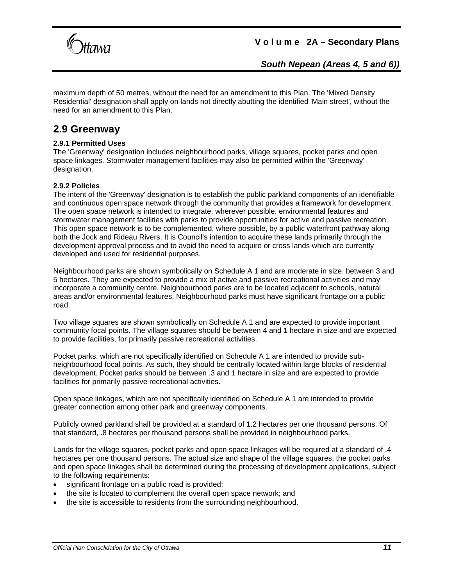

### *South Nepean (Areas 4, 5 and 6))*

maximum depth of 50 metres, without the need for an amendment to this Plan. The 'Mixed Density Residential' designation shall apply on lands not directly abutting the identified 'Main street', without the need for an amendment to this Plan.

### **2.9 Greenway**

#### **2.9.1 Permitted Uses**

The 'Greenway' designation includes neighbourhood parks, village squares, pocket parks and open space linkages. Stormwater management facilities may also be permitted within the 'Greenway' designation.

#### **2.9.2 Policies**

The intent of the 'Greenway' designation is to establish the public parkland components of an identifiable and continuous open space network through the community that provides a framework for development. The open space network is intended to integrate. wherever possible. environmental features and stormwater management facilities with parks to provide opportunities for active and passive recreation. This open space network is to be complemented, where possible, by a public waterfront pathway along both the Jock and Rideau Rivers. It is Council's intention to acquire these lands primarily through the development approval process and to avoid the need to acquire or cross lands which are currently developed and used for residential purposes.

Neighbourhood parks are shown symbolically on Schedule A 1 and are moderate in size. between 3 and 5 hectares. They are expected to provide a mix of active and passive recreational activities and may incorporate a community centre. Neighbourhood parks are to be located adjacent to schools, natural areas and/or environmental features. Neighbourhood parks must have significant frontage on a public road.

Two village squares are shown symbolically on Schedule A 1 and are expected to provide important community focal points. The village squares should be between 4 and 1 hectare in size and are expected to provide facilities, for primarily passive recreational activities.

Pocket parks. which are not specifically identified on Schedule A 1 are intended to provide subneighbourhood focal points. As such, they should be centrally located within large blocks of residential development. Pocket parks should be between .3 and 1 hectare in size and are expected to provide facilities for primarily passive recreational activities.

Open space linkages, which are not specifically identified on Schedule A 1 are intended to provide greater connection among other park and greenway components.

Publicly owned parkland shall be provided at a standard of 1.2 hectares per one thousand persons. Of that standard, .8 hectares per thousand persons shall be provided in neighbourhood parks.

Lands for the village squares, pocket parks and open space linkages will be required at a standard of .4 hectares per one thousand persons. The actual size and shape of the village squares, the pocket parks and open space linkages shall be determined during the processing of development applications, subject to the following requirements:

- significant frontage on a public road is provided;
- the site is located to complement the overall open space network; and
- the site is accessible to residents from the surrounding neighbourhood.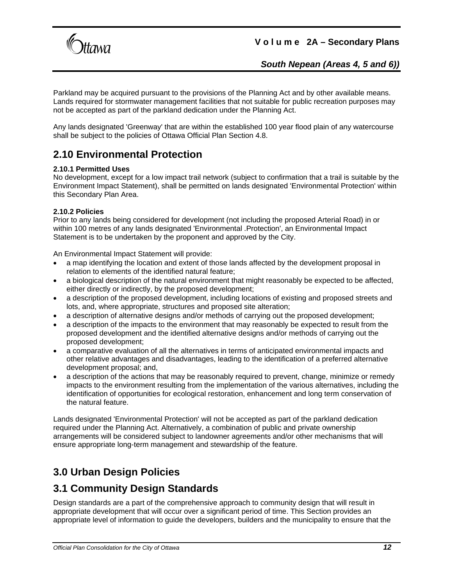

## *South Nepean (Areas 4, 5 and 6))*

Parkland may be acquired pursuant to the provisions of the Planning Act and by other available means. Lands required for stormwater management facilities that not suitable for public recreation purposes may not be accepted as part of the parkland dedication under the Planning Act.

Any lands designated 'Greenway' that are within the established 100 year flood plain of any watercourse shall be subject to the policies of Ottawa Official Plan Section 4.8.

## **2.10 Environmental Protection**

#### **2.10.1 Permitted Uses**

No development, except for a low impact trail network (subject to confirmation that a trail is suitable by the Environment Impact Statement), shall be permitted on lands designated 'Environmental Protection' within this Secondary Plan Area.

#### **2.10.2 Policies**

Prior to any lands being considered for development (not including the proposed Arterial Road) in or within 100 metres of any lands designated 'Environmental .Protection', an Environmental Impact Statement is to be undertaken by the proponent and approved by the City.

An Environmental Impact Statement will provide:

- a map identifying the location and extent of those lands affected by the development proposal in relation to elements of the identified natural feature;
- a biological description of the natural environment that might reasonably be expected to be affected, either directly or indirectly, by the proposed development;
- a description of the proposed development, including locations of existing and proposed streets and lots, and, where appropriate, structures and proposed site alteration;
- a description of alternative designs and/or methods of carrying out the proposed development;
- a description of the impacts to the environment that may reasonably be expected to result from the proposed development and the identified alternative designs and/or methods of carrying out the proposed development;
- a comparative evaluation of all the alternatives in terms of anticipated environmental impacts and other relative advantages and disadvantages, leading to the identification of a preferred alternative development proposal; and,
- a description of the actions that may be reasonably required to prevent, change, minimize or remedy impacts to the environment resulting from the implementation of the various alternatives, including the identification of opportunities for ecological restoration, enhancement and long term conservation of the natural feature.

Lands designated 'Environmental Protection' will not be accepted as part of the parkland dedication required under the Planning Act. Alternatively, a combination of public and private ownership arrangements will be considered subject to landowner agreements and/or other mechanisms that will ensure appropriate long-term management and stewardship of the feature.

# **3.0 Urban Design Policies**

## **3.1 Community Design Standards**

Design standards are a part of the comprehensive approach to community design that will result in appropriate development that will occur over a significant period of time. This Section provides an appropriate level of information to guide the developers, builders and the municipality to ensure that the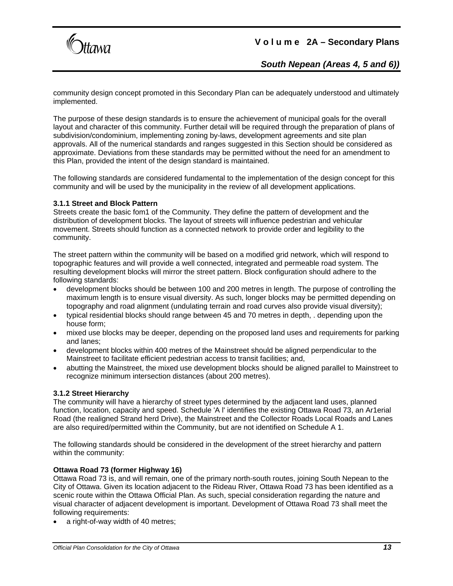

## *South Nepean (Areas 4, 5 and 6))*

community design concept promoted in this Secondary Plan can be adequately understood and ultimately implemented.

The purpose of these design standards is to ensure the achievement of municipal goals for the overall layout and character of this community. Further detail will be required through the preparation of plans of subdivision/condominium, implementing zoning by-laws, development agreements and site plan approvals. All of the numerical standards and ranges suggested in this Section should be considered as approximate. Deviations from these standards may be permitted without the need for an amendment to this Plan, provided the intent of the design standard is maintained.

The following standards are considered fundamental to the implementation of the design concept for this community and will be used by the municipality in the review of all development applications.

#### **3.1.1 Street and Block Pattern**

Streets create the basic fom1 of the Community. They define the pattern of development and the distribution of development blocks. The layout of streets will influence pedestrian and vehicular movement. Streets should function as a connected network to provide order and legibility to the community.

The street pattern within the community will be based on a modified grid network, which will respond to topographic features and will provide a well connected, integrated and permeable road system. The resulting development blocks will mirror the street pattern. Block configuration should adhere to the following standards:

- development blocks should be between 100 and 200 metres in length. The purpose of controlling the maximum length is to ensure visual diversity. As such, longer blocks may be permitted depending on topography and road alignment (undulating terrain and road curves also provide visual diversity);
- typical residential blocks should range between 45 and 70 metres in depth, . depending upon the house form;
- mixed use blocks may be deeper, depending on the proposed land uses and requirements for parking and lanes;
- development blocks within 400 metres of the Mainstreet should be aligned perpendicular to the Mainstreet to facilitate efficient pedestrian access to transit facilities; and,
- abutting the Mainstreet, the mixed use development blocks should be aligned parallel to Mainstreet to recognize minimum intersection distances (about 200 metres).

#### **3.1.2 Street Hierarchy**

The community will have a hierarchy of street types determined by the adjacent land uses, planned function, location, capacity and speed. Schedule 'A l' identifies the existing Ottawa Road 73, an Ar1erial Road (the realigned Strand herd Drive), the Mainstreet and the Collector Roads Local Roads and Lanes are also required/permitted within the Community, but are not identified on Schedule A 1.

The following standards should be considered in the development of the street hierarchy and pattern within the community:

#### **Ottawa Road 73 (former Highway 16)**

Ottawa Road 73 is, and will remain, one of the primary north-south routes, joining South Nepean to the City of Ottawa. Given its location adjacent to the Rideau River, Ottawa Road 73 has been identified as a scenic route within the Ottawa Official Plan. As such, special consideration regarding the nature and visual character of adjacent development is important. Development of Ottawa Road 73 shall meet the following requirements:

a right-of-way width of 40 metres;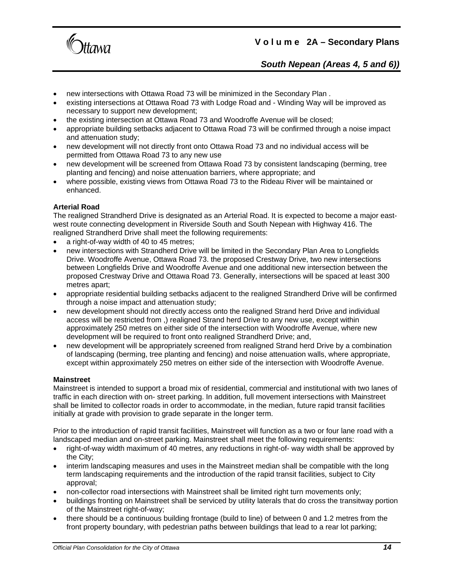

### *South Nepean (Areas 4, 5 and 6))*

- new intersections with Ottawa Road 73 will be minimized in the Secondary Plan .
- existing intersections at Ottawa Road 73 with Lodge Road and Winding Way will be improved as necessary to support new development;
- the existing intersection at Ottawa Road 73 and Woodroffe Avenue will be closed;
- appropriate building setbacks adjacent to Ottawa Road 73 will be confirmed through a noise impact and attenuation study;
- new development will not directly front onto Ottawa Road 73 and no individual access will be permitted from Ottawa Road 73 to any new use
- new development will be screened from Ottawa Road 73 by consistent landscaping (berming, tree planting and fencing) and noise attenuation barriers, where appropriate; and
- where possible, existing views from Ottawa Road 73 to the Rideau River will be maintained or enhanced.

#### **Arterial Road**

The realigned Strandherd Drive is designated as an Arterial Road. It is expected to become a major eastwest route connecting development in Riverside South and South Nepean with Highway 416. The realigned Strandherd Drive shall meet the following requirements:

- a right-of-way width of 40 to 45 metres;
- new intersections with Strandherd Drive will be limited in the Secondary Plan Area to Longfields Drive. Woodroffe Avenue, Ottawa Road 73. the proposed Crestway Drive, two new intersections between Longfields Drive and Woodroffe Avenue and one additional new intersection between the proposed Crestway Drive and Ottawa Road 73. Generally, intersections will be spaced at least 300 metres apart;
- appropriate residential building setbacks adjacent to the realigned Strandherd Drive will be confirmed through a noise impact and attenuation study;
- new development should not directly access onto the realigned Strand herd Drive and individual access will be restricted from ,) realigned Strand herd Drive to any new use, except within approximately 250 metres on either side of the intersection with Woodroffe Avenue, where new development will be required to front onto realigned Strandherd Drive; and,
- new development will be appropriately screened from realigned Strand herd Drive by a combination of landscaping (berming, tree planting and fencing) and noise attenuation walls, where appropriate, except within approximately 250 metres on either side of the intersection with Woodroffe Avenue.

#### **Mainstreet**

Mainstreet is intended to support a broad mix of residential, commercial and institutional with two lanes of traffic in each direction with on- street parking. In addition, full movement intersections with Mainstreet shall be limited to collector roads in order to accommodate, in the median, future rapid transit facilities initially at grade with provision to grade separate in the longer term.

Prior to the introduction of rapid transit facilities, Mainstreet will function as a two or four lane road with a landscaped median and on-street parking. Mainstreet shall meet the following requirements:

- right-of-way width maximum of 40 metres, any reductions in right-of- way width shall be approved by the City;
- interim landscaping measures and uses in the Mainstreet median shall be compatible with the long term landscaping requirements and the introduction of the rapid transit facilities, subject to City approval;
- non-collector road intersections with Mainstreet shall be limited right turn movements only;
- buildings fronting on Mainstreet shall be serviced by utility laterals that do cross the transitway portion of the Mainstreet right-of-way;
- there should be a continuous building frontage (build to line) of between 0 and 1.2 metres from the front property boundary, with pedestrian paths between buildings that lead to a rear lot parking;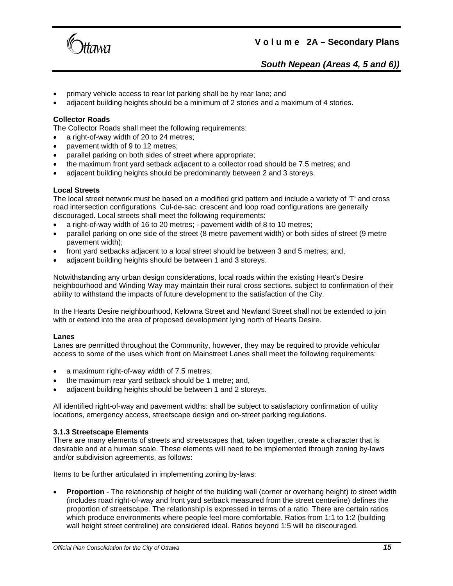

## *South Nepean (Areas 4, 5 and 6))*

- primary vehicle access to rear lot parking shall be by rear lane; and
- adjacent building heights should be a minimum of 2 stories and a maximum of 4 stories.

#### **Collector Roads**

The Collector Roads shall meet the following requirements:

- a right-of-way width of 20 to 24 metres;
- pavement width of 9 to 12 metres;
- parallel parking on both sides of street where appropriate;
- the maximum front yard setback adjacent to a collector road should be 7.5 metres; and
- adjacent building heights should be predominantly between 2 and 3 storeys.

#### **Local Streets**

The local street network must be based on a modified grid pattern and include a variety of 'T' and cross road intersection configurations. Cul-de-sac. crescent and loop road configurations are generally discouraged. Local streets shall meet the following requirements:

- a right-of-way width of 16 to 20 metres; pavement width of 8 to 10 metres;
- parallel parking on one side of the street (8 metre pavement width) or both sides of street (9 metre pavement width);
- front yard setbacks adjacent to a local street should be between 3 and 5 metres; and,
- adjacent building heights should be between 1 and 3 storeys.

Notwithstanding any urban design considerations, local roads within the existing Heart's Desire neighbourhood and Winding Way may maintain their rural cross sections. subject to confirmation of their ability to withstand the impacts of future development to the satisfaction of the City.

In the Hearts Desire neighbourhood, Kelowna Street and Newland Street shall not be extended to join with or extend into the area of proposed development lying north of Hearts Desire.

#### **Lanes**

Lanes are permitted throughout the Community, however, they may be required to provide vehicular access to some of the uses which front on Mainstreet Lanes shall meet the following requirements:

- a maximum right-of-way width of 7.5 metres;
- the maximum rear yard setback should be 1 metre; and,
- adjacent building heights should be between 1 and 2 storeys.

All identified right-of-way and pavement widths: shall be subject to satisfactory confirmation of utility locations, emergency access, streetscape design and on-street parking regulations.

#### **3.1.3 Streetscape Elements**

There are many elements of streets and streetscapes that, taken together, create a character that is desirable and at a human scale. These elements will need to be implemented through zoning by-laws and/or subdivision agreements, as follows:

Items to be further articulated in implementing zoning by-laws:

**Proportion** - The relationship of height of the building wall (corner or overhang height) to street width (includes road right-of-way and front yard setback measured from the street centreline) defines the proportion of streetscape. The relationship is expressed in terms of a ratio. There are certain ratios which produce environments where people feel more comfortable. Ratios from 1:1 to 1:2 (building wall height street centreline) are considered ideal. Ratios beyond 1:5 will be discouraged.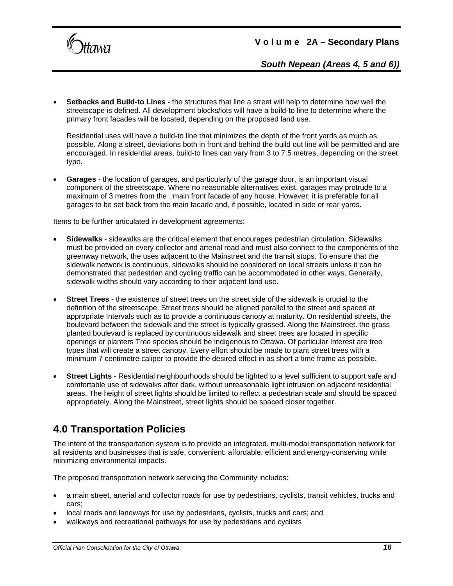

### *South Nepean (Areas 4, 5 and 6))*

• **Setbacks and Build-to Lines** - the structures that line a street will help to determine how well the streetscape is defined. All development blocks/lots will have a build-to line to determine where the primary front facades will be located, depending on the proposed land use.

Residential uses will have a build-to line that minimizes the depth of the front yards as much as possible. Along a street, deviations both in front and behind the build out line will be permitted and are encouraged. In residential areas, build-to lines can vary from 3 to 7.5 metres, depending on the street type.

• **Garages** - the location of garages, and particularly of the garage door, is an important visual component of the streetscape. Where no reasonable alternatives exist, garages may protrude to a maximum of 3 metres from the . main front facade of any house. However, it is preferable for all garages to be set back from the main facade and, if possible, located in side or rear yards.

Items to be further articulated in development agreements:

- **Sidewalks** sidewalks are the critical element that encourages pedestrian circulation. Sidewalks must be provided on every collector and arterial road and must also connect to the components of the greenway network, the uses adjacent to the Mainstreet and the transit stops. To ensure that the sidewalk network is continuous, sidewalks should be considered on local streets unless it can be demonstrated that pedestrian and cycling traffic can be accommodated in other ways. Generally, sidewalk widths should vary according to their adjacent land use.
- **Street Trees** the existence of street trees on the street side of the sidewalk is crucial to the definition of the streetscape. Street trees should be aligned parallel to the street and spaced at appropriate Intervals such as to provide a continuous canopy at maturity. On residential streets, the boulevard between the sidewalk and the street is typically grassed. Along the Mainstreet. the grass planted boulevard is replaced by continuous sidewalk and street trees are located in specific openings or planters Tree species should be indigenous to Ottawa. Of particular Interest are tree types that will create a street canopy. Every effort should be made to plant street trees with a minimum 7 centimetre caliper to provide the desired effect in as short a time frame as possible.
- **Street Lights** Residential neighbourhoods should be lighted to a level sufficient to support safe and comfortable use of sidewalks after dark, without unreasonable light intrusion on adjacent residential areas. The height of street lights should be limited to reflect a pedestrian scale and should be spaced appropriately. Along the Mainstreet, street lights should be spaced closer together.

# **4.0 Transportation Policies**

The intent of the transportation system is to provide an integrated. multi-modal transportation network for all residents and businesses that is safe, convenient. affordable. efficient and energy-conserving while minimizing environmental impacts.

The proposed transportation network servicing the Community includes:

- a main street, arterial and collector roads for use by pedestrians, cyclists, transit vehicles, trucks and cars;
- local roads and laneways for use by pedestrians, cyclists, trucks and cars; and
- walkways and recreational pathways for use by pedestrians and cyclists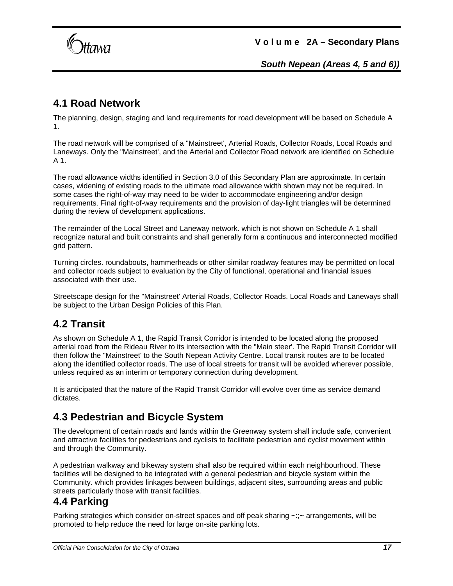*ttawa* 

*South Nepean (Areas 4, 5 and 6))* 

# **4.1 Road Network**

The planning, design, staging and land requirements for road development will be based on Schedule A 1.

The road network will be comprised of a "Mainstreet', Arterial Roads, Collector Roads, Local Roads and Laneways. Only the "Mainstreet', and the Arterial and Collector Road network are identified on Schedule A 1.

The road allowance widths identified in Section 3.0 of this Secondary Plan are approximate. In certain cases, widening of existing roads to the ultimate road allowance width shown may not be required. In some cases the right-of-way may need to be wider to accommodate engineering and/or design requirements. Final right-of-way requirements and the provision of day-light triangles will be determined during the review of development applications.

The remainder of the Local Street and Laneway network. which is not shown on Schedule A 1 shall recognize natural and built constraints and shall generally form a continuous and interconnected modified grid pattern.

Turning circles. roundabouts, hammerheads or other similar roadway features may be permitted on local and collector roads subject to evaluation by the City of functional, operational and financial issues associated with their use.

Streetscape design for the "Mainstreet' Arterial Roads, Collector Roads. Local Roads and Laneways shall be subject to the Urban Design Policies of this Plan.

# **4.2 Transit**

As shown on Schedule A 1, the Rapid Transit Corridor is intended to be located along the proposed arterial road from the Rideau River to its intersection with the "Main steer'. The Rapid Transit Corridor will then follow the "Mainstreet' to the South Nepean Activity Centre. Local transit routes are to be located along the identified collector roads. The use of local streets for transit will be avoided wherever possible, unless required as an interim or temporary connection during development.

It is anticipated that the nature of the Rapid Transit Corridor will evolve over time as service demand dictates.

# **4.3 Pedestrian and Bicycle System**

The development of certain roads and lands within the Greenway system shall include safe, convenient and attractive facilities for pedestrians and cyclists to facilitate pedestrian and cyclist movement within and through the Community.

A pedestrian walkway and bikeway system shall also be required within each neighbourhood. These facilities will be designed to be integrated with a general pedestrian and bicycle system within the Community. which provides linkages between buildings, adjacent sites, surrounding areas and public streets particularly those with transit facilities.

# **4.4 Parking**

Parking strategies which consider on-street spaces and off peak sharing  $\sim$ :; $\sim$  arrangements, will be promoted to help reduce the need for large on-site parking lots.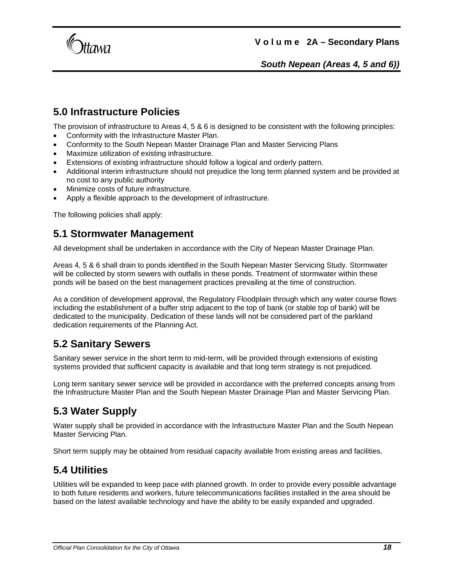**Itawa** 

# **5.0 Infrastructure Policies**

The provision of infrastructure to Areas 4, 5 & 6 is designed to be consistent with the following principles:

- Conformity with the Infrastructure Master Plan.
- Conformity to the South Nepean Master Drainage Plan and Master Servicing Plans
- Maximize utilization of existing infrastructure.
- Extensions of existing infrastructure should follow a logical and orderly pattern.
- Additional interim infrastructure should not prejudice the long term planned system and be provided at no cost to any public authority
- Minimize costs of future infrastructure.
- Apply a flexible approach to the development of infrastructure.

The following policies shall apply:

## **5.1 Stormwater Management**

All development shall be undertaken in accordance with the City of Nepean Master Drainage Plan.

Areas 4, 5 & 6 shall drain to ponds identified in the South Nepean Master Servicing Study. Stormwater will be collected by storm sewers with outfalls in these ponds. Treatment of stormwater within these ponds will be based on the best management practices prevailing at the time of construction.

As a condition of development approval, the Regulatory Floodplain through which any water course flows including the establishment of a buffer strip adjacent to the top of bank (or stable top of bank) will be dedicated to the municipality. Dedication of these lands will not be considered part of the parkland dedication requirements of the Planning Act.

## **5.2 Sanitary Sewers**

Sanitary sewer service in the short term to mid-term, will be provided through extensions of existing systems provided that sufficient capacity is available and that long term strategy is not prejudiced.

Long term sanitary sewer service will be provided in accordance with the preferred concepts arising from the Infrastructure Master Plan and the South Nepean Master Drainage Plan and Master Servicing Plan.

# **5.3 Water Supply**

Water supply shall be provided in accordance with the Infrastructure Master Plan and the South Nepean Master Servicing Plan.

Short term supply may be obtained from residual capacity available from existing areas and facilities.

## **5.4 Utilities**

Utilities will be expanded to keep pace with planned growth. In order to provide every possible advantage to both future residents and workers, future telecommunications facilities installed in the area should be based on the latest available technology and have the ability to be easily expanded and upgraded.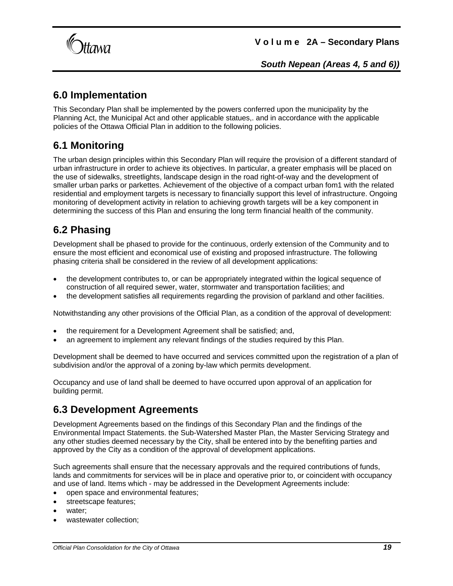

*South Nepean (Areas 4, 5 and 6))* 

# **6.0 Implementation**

This Secondary Plan shall be implemented by the powers conferred upon the municipality by the Planning Act, the Municipal Act and other applicable statues,. and in accordance with the applicable policies of the Ottawa Official Plan in addition to the following policies.

# **6.1 Monitoring**

The urban design principles within this Secondary Plan will require the provision of a different standard of urban infrastructure in order to achieve its objectives. In particular, a greater emphasis will be placed on the use of sidewalks, streetlights, landscape design in the road right-of-way and the development of smaller urban parks or parkettes. Achievement of the objective of a compact urban fom1 with the related residential and employment targets is necessary to financially support this level of infrastructure. Ongoing monitoring of development activity in relation to achieving growth targets will be a key component in determining the success of this Plan and ensuring the long term financial health of the community.

# **6.2 Phasing**

Development shall be phased to provide for the continuous, orderly extension of the Community and to ensure the most efficient and economical use of existing and proposed infrastructure. The following phasing criteria shall be considered in the review of all development applications:

- the development contributes to, or can be appropriately integrated within the logical sequence of construction of all required sewer, water, stormwater and transportation facilities; and
- the development satisfies all requirements regarding the provision of parkland and other facilities.

Notwithstanding any other provisions of the Official Plan, as a condition of the approval of development:

- the requirement for a Development Agreement shall be satisfied; and,
- an agreement to implement any relevant findings of the studies required by this Plan.

Development shall be deemed to have occurred and services committed upon the registration of a plan of subdivision and/or the approval of a zoning by-law which permits development.

Occupancy and use of land shall be deemed to have occurred upon approval of an application for building permit.

# **6.3 Development Agreements**

Development Agreements based on the findings of this Secondary Plan and the findings of the Environmental Impact Statements. the Sub-Watershed Master Plan, the Master Servicing Strategy and any other studies deemed necessary by the City, shall be entered into by the benefiting parties and approved by the City as a condition of the approval of development applications.

Such agreements shall ensure that the necessary approvals and the required contributions of funds, lands and commitments for services will be in place and operative prior to, or coincident with occupancy and use of land. Items which - may be addressed in the Development Agreements include:

- open space and environmental features;
- streetscape features:
- water:
- wastewater collection: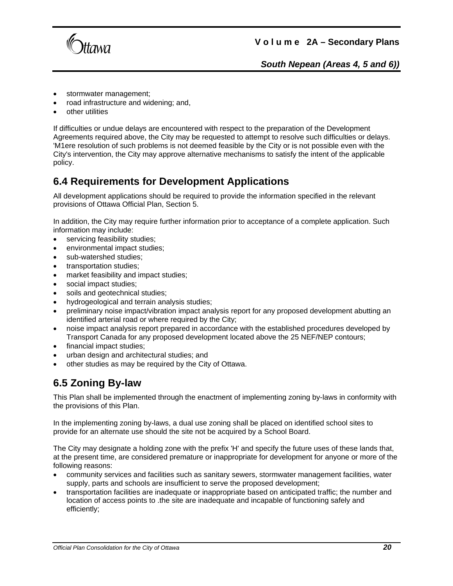

- stormwater management;
- road infrastructure and widening; and,
- other utilities

If difficulties or undue delays are encountered with respect to the preparation of the Development Agreements required above, the City may be requested to attempt to resolve such difficulties or delays. 'M1ere resolution of such problems is not deemed feasible by the City or is not possible even with the City's intervention, the City may approve alternative mechanisms to satisfy the intent of the applicable policy.

## **6.4 Requirements for Development Applications**

All development applications should be required to provide the information specified in the relevant provisions of Ottawa Official Plan, Section 5.

In addition, the City may require further information prior to acceptance of a complete application. Such information may include:

- servicing feasibility studies;
- environmental impact studies;
- sub-watershed studies;
- transportation studies;
- market feasibility and impact studies;
- social impact studies;
- soils and geotechnical studies;
- hydrogeological and terrain analysis studies;
- preliminary noise impact/vibration impact analysis report for any proposed development abutting an identified arterial road or where required by the City;
- noise impact analysis report prepared in accordance with the established procedures developed by Transport Canada for any proposed development located above the 25 NEF/NEP contours;
- financial impact studies;
- urban design and architectural studies; and
- other studies as may be required by the City of Ottawa.

# **6.5 Zoning By-law**

This Plan shall be implemented through the enactment of implementing zoning by-laws in conformity with the provisions of this Plan.

In the implementing zoning by-laws, a dual use zoning shall be placed on identified school sites to provide for an alternate use should the site not be acquired by a School Board.

The City may designate a holding zone with the prefix 'H' and specify the future uses of these lands that, at the present time, are considered premature or inappropriate for development for anyone or more of the following reasons:

- community services and facilities such as sanitary sewers, stormwater management facilities, water supply, parts and schools are insufficient to serve the proposed development;
- transportation facilities are inadequate or inappropriate based on anticipated traffic; the number and location of access points to .the site are inadequate and incapable of functioning safely and efficiently;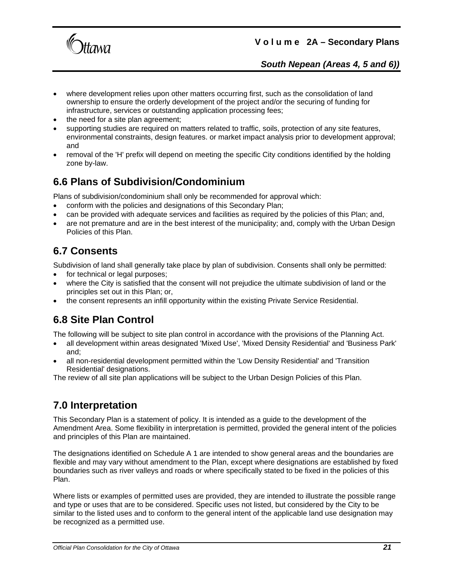

### *South Nepean (Areas 4, 5 and 6))*

- where development relies upon other matters occurring first, such as the consolidation of land ownership to ensure the orderly development of the project and/or the securing of funding for infrastructure, services or outstanding application processing fees;
- the need for a site plan agreement;
- supporting studies are required on matters related to traffic, soils, protection of any site features, environmental constraints, design features. or market impact analysis prior to development approval; and
- removal of the 'H' prefix will depend on meeting the specific City conditions identified by the holding zone by-law.

# **6.6 Plans of Subdivision/Condominium**

Plans of subdivision/condominium shall only be recommended for approval which:

- conform with the policies and designations of this Secondary Plan;
- can be provided with adequate services and facilities as required by the policies of this Plan; and,
- are not premature and are in the best interest of the municipality; and, comply with the Urban Design Policies of this Plan.

## **6.7 Consents**

Subdivision of land shall generally take place by plan of subdivision. Consents shall only be permitted:

- for technical or legal purposes;
- where the City is satisfied that the consent will not prejudice the ultimate subdivision of land or the principles set out in this Plan; or,
- the consent represents an infill opportunity within the existing Private Service Residential.

# **6.8 Site Plan Control**

The following will be subject to site plan control in accordance with the provisions of the Planning Act.

- all development within areas designated 'Mixed Use', 'Mixed Density Residential' and 'Business Park' and;
- all non-residential development permitted within the 'Low Density Residential' and 'Transition Residential' designations.

The review of all site plan applications will be subject to the Urban Design Policies of this Plan.

# **7.0 Interpretation**

This Secondary Plan is a statement of policy. It is intended as a guide to the development of the Amendment Area. Some flexibility in interpretation is permitted, provided the general intent of the policies and principles of this Plan are maintained.

The designations identified on Schedule A 1 are intended to show general areas and the boundaries are flexible and may vary without amendment to the Plan, except where designations are established by fixed boundaries such as river valleys and roads or where specifically stated to be fixed in the policies of this Plan.

Where lists or examples of permitted uses are provided, they are intended to illustrate the possible range and type or uses that are to be considered. Specific uses not listed, but considered by the City to be similar to the listed uses and to conform to the general intent of the applicable land use designation may be recognized as a permitted use.